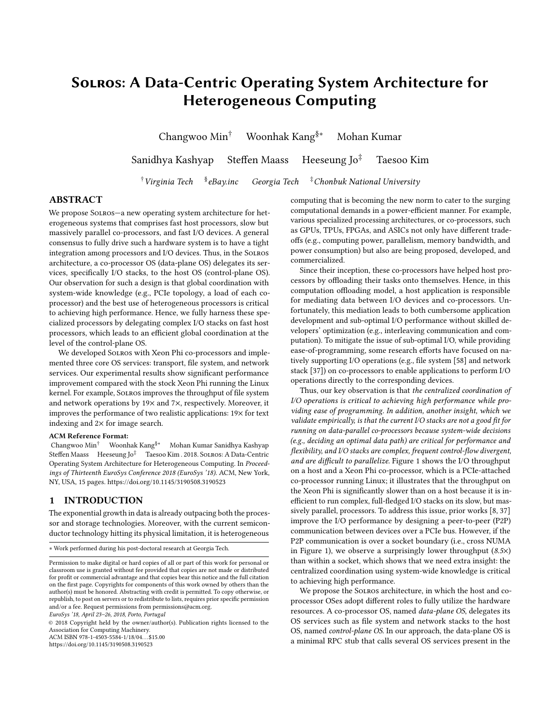# Solros: A Data-Centric Operating System Architecture for Heterogeneous Computing

Changwoo Min† Woonhak Kang§∗ Mohan Kumar

Sanidhya Kashyap Steffen Maass Heeseung Jo<sup>‡</sup> Taesoo Kim

 $\dagger$ Virginia Tech  $\delta$ eBay.inc Georgia Tech  $\ddot{ }$ <sup>‡</sup>Chonbuk National University

## ABSTRACT

We propose SOLROS-a new operating system architecture for heterogeneous systems that comprises fast host processors, slow but massively parallel co-processors, and fast I/O devices. A general consensus to fully drive such a hardware system is to have a tight integration among processors and I/O devices. Thus, in the Solros architecture, a co-processor OS (data-plane OS) delegates its services, specifically I/O stacks, to the host OS (control-plane OS). Our observation for such a design is that global coordination with system-wide knowledge (e.g., PCIe topology, a load of each coprocessor) and the best use of heterogeneous processors is critical to achieving high performance. Hence, we fully harness these specialized processors by delegating complex I/O stacks on fast host processors, which leads to an efficient global coordination at the level of the control-plane OS.

We developed Solros with Xeon Phi co-processors and implemented three core OS services: transport, file system, and network services. Our experimental results show significant performance improvement compared with the stock Xeon Phi running the Linux kernel. For example, Solros improves the throughput of file system and network operations by 19× and 7×, respectively. Moreover, it improves the performance of two realistic applications: 19× for text indexing and 2× for image search.

#### ACM Reference Format:

Changwoo Min† Woonhak Kang§∗ Mohan Kumar Sanidhya Kashyap Steffen Maass Heeseung Jo<sup>‡</sup> Taesoo Kim . 2018. Solros: A Data-Centric Operating System Architecture for Heterogeneous Computing. In Proceedings of Thirteenth EuroSys Conference 2018 (EuroSys '18). ACM, New York, NY, USA, [15](#page-14-0) pages.<https://doi.org/10.1145/3190508.3190523>

## 1 INTRODUCTION

The exponential growth in data is already outpacing both the processor and storage technologies. Moreover, with the current semiconductor technology hitting its physical limitation, it is heterogeneous

∗ Work performed during his post-doctoral research at Georgia Tech.

EuroSys '18, April 23–26, 2018, Porto, Portugal

© 2018 Copyright held by the owner/author(s). Publication rights licensed to the Association for Computing Machinery. ACM ISBN 978-1-4503-5584-1/18/04...\$15.00

<https://doi.org/10.1145/3190508.3190523>

computing that is becoming the new norm to cater to the surging computational demands in a power-efficient manner. For example, various specialized processing architectures, or co-processors, such as GPUs, TPUs, FPGAs, and ASICs not only have different tradeoffs (e.g., computing power, parallelism, memory bandwidth, and power consumption) but also are being proposed, developed, and commercialized.

Since their inception, these co-processors have helped host processors by offloading their tasks onto themselves. Hence, in this computation offloading model, a host application is responsible for mediating data between I/O devices and co-processors. Unfortunately, this mediation leads to both cumbersome application development and sub-optimal I/O performance without skilled developers' optimization (e.g., interleaving communication and computation). To mitigate the issue of sub-optimal I/O, while providing ease-of-programming, some research efforts have focused on natively supporting I/O operations (e.g., file system [\[58\]](#page-14-1) and network stack [\[37\]](#page-13-0)) on co-processors to enable applications to perform I/O operations directly to the corresponding devices.

Thus, our key observation is that the centralized coordination of I/O operations is critical to achieving high performance while providing ease of programming. In addition, another insight, which we validate empirically, is that the current I/O stacks are not a good fit for running on data-parallel co-processors because system-wide decisions (e.g., deciding an optimal data path) are critical for performance and flexibility, and I/O stacks are complex, frequent control-flow divergent, and are difficult to parallelize. [Figure 1](#page-1-0) shows the I/O throughput on a host and a Xeon Phi co-processor, which is a PCIe-attached co-processor running Linux; it illustrates that the throughput on the Xeon Phi is significantly slower than on a host because it is inefficient to run complex, full-fledged I/O stacks on its slow, but massively parallel, processors. To address this issue, prior works [\[8,](#page-13-1) [37\]](#page-13-0) improve the I/O performance by designing a peer-to-peer (P2P) communication between devices over a PCIe bus. However, if the P2P communication is over a socket boundary (i.e., cross NUMA in [Figure 1\)](#page-1-0), we observe a surprisingly lower throughput  $(8.5\times)$ than within a socket, which shows that we need extra insight: the centralized coordination using system-wide knowledge is critical to achieving high performance.

We propose the Solros architecture, in which the host and coprocessor OSes adopt different roles to fully utilize the hardware resources. A co-processor OS, named data-plane OS, delegates its OS services such as file system and network stacks to the host OS, named control-plane OS. In our approach, the data-plane OS is a minimal RPC stub that calls several OS services present in the

Permission to make digital or hard copies of all or part of this work for personal or classroom use is granted without fee provided that copies are not made or distributed for profit or commercial advantage and that copies bear this notice and the full citation on the first page. Copyrights for components of this work owned by others than the author(s) must be honored. Abstracting with credit is permitted. To copy otherwise, or republish, to post on servers or to redistribute to lists, requires prior specific permission and/or a fee. Request permissions from permissions@acm.org.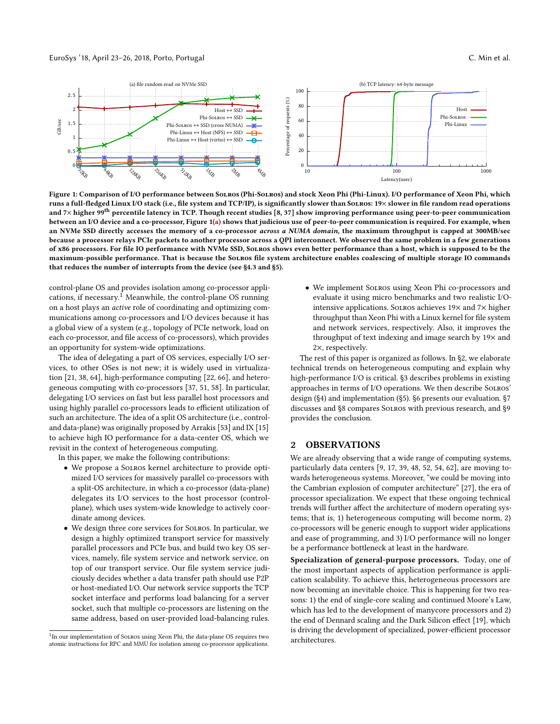<span id="page-1-0"></span>

Figure 1: Comparison of I/O performance between Solros (Phi-Solros) and stock Xeon Phi (Phi-Linux). I/O performance of Xeon Phi, which runs a full-fledged Linux I/O stack (i.e., file system and TCP/IP), is significantly slower than SoLROS: 19× slower in file random read operations and  $7\times$  higher 99<sup>th</sup> percentile latency in TCP. Though recent studies [\[8,](#page-13-1) [37\]](#page-13-0) show improving performance using peer-to-peer communication between an I/O device and a co-processor, [Figure 1\(](#page-1-0)a) shows that judicious use of peer-to-peer communication is required. For example, when an NVMe SSD directly accesses the memory of a co-processor across a NUMA domain, the maximum throughput is capped at 300MB/sec because a processor relays PCIe packets to another processor across a QPI interconnect. We observed the same problem in a few generations of x86 processors. For file IO performance with NVMe SSD, Solros shows even better performance than a host, which is supposed to be the maximum-possible performance. That is because the Solros file system architecture enables coalescing of multiple storage IO commands

control-plane OS and provides isolation among co-processor applications, if necessary.[1](#page-1-1) Meanwhile, the control-plane OS running on a host plays an active role of coordinating and optimizing communications among co-processors and I/O devices because it has a global view of a system (e.g., topology of PCIe network, load on each co-processor, and file access of co-processors), which provides an opportunity for system-wide optimizations.

that reduces the number of interrupts from the device (see [§4.3](#page-5-0) and [§5\)](#page-7-0).

The idea of delegating a part of OS services, especially I/O services, to other OSes is not new; it is widely used in virtualization [\[21,](#page-13-2) [38,](#page-13-3) [64\]](#page-14-2), high-performance computing [\[22,](#page-13-4) [66\]](#page-14-3), and heterogeneous computing with co-processors [\[37,](#page-13-0) [51,](#page-14-4) [58\]](#page-14-1). In particular, delegating I/O services on fast but less parallel host processors and using highly parallel co-processors leads to efficient utilization of such an architecture. The idea of a split OS architecture (i.e., controland data-plane) was originally proposed by Arrakis [\[53\]](#page-14-5) and IX [\[15\]](#page-13-5) to achieve high IO performance for a data-center OS, which we revisit in the context of heterogeneous computing.

In this paper, we make the following contributions:

- We propose a Solros kernel architecture to provide optimized I/O services for massively parallel co-processors with a split-OS architecture, in which a co-processor (data-plane) delegates its I/O services to the host processor (controlplane), which uses system-wide knowledge to actively coordinate among devices.
- We design three core services for Solros. In particular, we design a highly optimized transport service for massively parallel processors and PCIe bus, and build two key OS services, namely, file system service and network service, on top of our transport service. Our file system service judiciously decides whether a data transfer path should use P2P or host-mediated I/O. Our network service supports the TCP socket interface and performs load balancing for a server socket, such that multiple co-processors are listening on the same address, based on user-provided load-balancing rules.

• We implement Solros using Xeon Phi co-processors and evaluate it using micro benchmarks and two realistic I/Ointensive applications. Solros achieves 19× and 7× higher throughput than Xeon Phi with a Linux kernel for file system and network services, respectively. Also, it improves the throughput of text indexing and image search by 19× and 2×, respectively.

The rest of this paper is organized as follows. In [§2,](#page-1-2) we elaborate technical trends on heterogeneous computing and explain why high-performance I/O is critical. [§3](#page-2-0) describes problems in existing approaches in terms of I/O operations. We then describe Solros' design [\(§4\)](#page-2-1) and implementation [\(§5\)](#page-7-0). [§6](#page-8-0) presents our evaluation. [§7](#page-11-0) discusses and [§8](#page-12-0) compares Solros with previous research, and [§9](#page-12-1) provides the conclusion.

### <span id="page-1-2"></span>2 OBSERVATIONS

We are already observing that a wide range of computing systems, particularly data centers [\[9,](#page-13-6) [17,](#page-13-7) [39,](#page-13-8) [48,](#page-13-9) [52,](#page-14-6) [54,](#page-14-7) [62\]](#page-14-8), are moving towards heterogeneous systems. Moreover, "we could be moving into the Cambrian explosion of computer architecture" [\[27\]](#page-13-10), the era of processor specialization. We expect that these ongoing technical trends will further affect the architecture of modern operating systems; that is, 1) heterogeneous computing will become norm, 2) co-processors will be generic enough to support wider applications and ease of programming, and 3) I/O performance will no longer be a performance bottleneck at least in the hardware.

Specialization of general-purpose processors. Today, one of the most important aspects of application performance is application scalability. To achieve this, heterogeneous processors are now becoming an inevitable choice. This is happening for two reasons: 1) the end of single-core scaling and continued Moore's Law, which has led to the development of manycore processors and 2) the end of Dennard scaling and the Dark Silicon effect [\[19\]](#page-13-11), which is driving the development of specialized, power-efficient processor architectures.

<span id="page-1-1"></span><sup>&</sup>lt;sup>1</sup>In our implementation of SOLROS using Xeon Phi, the data-plane OS requires two atomic instructions for RPC and MMU for isolation among co-processor applications.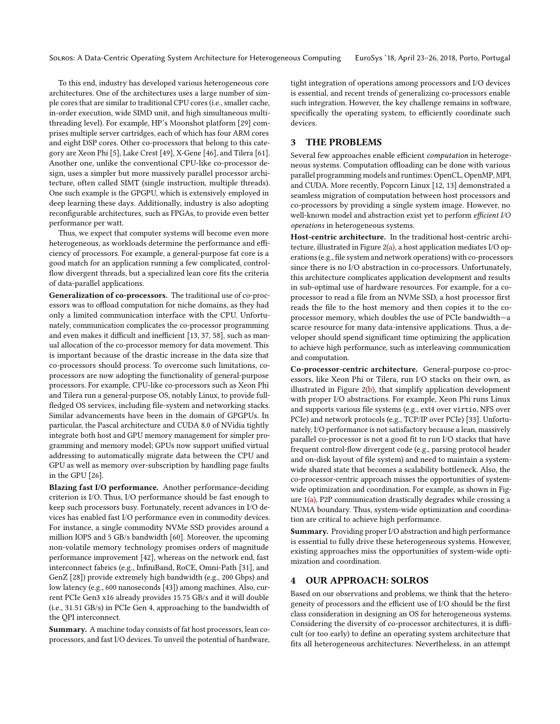To this end, industry has developed various heterogeneous core architectures. One of the architectures uses a large number of simple cores that are similar to traditional CPU cores (i.e., smaller cache, in-order execution, wide SIMD unit, and high simultaneous multithreading level). For example, HP's Moonshot platform [\[29\]](#page-13-12) comprises multiple server cartridges, each of which has four ARM cores and eight DSP cores. Other co-processors that belong to this category are Xeon Phi [\[5\]](#page-13-13), Lake Crest [\[49\]](#page-13-14), X-Gene [\[46\]](#page-13-15), and Tilera [\[61\]](#page-14-9). Another one, unlike the conventional CPU-like co-processor design, uses a simpler but more massively parallel processor architecture, often called SIMT (single instruction, multiple threads). One such example is the GPGPU, which is extensively employed in deep learning these days. Additionally, industry is also adopting reconfigurable architectures, such as FPGAs, to provide even better performance per watt.

Thus, we expect that computer systems will become even more heterogeneous, as workloads determine the performance and efficiency of processors. For example, a general-purpose fat core is a good match for an application running a few complicated, controlflow divergent threads, but a specialized lean core fits the criteria of data-parallel applications.

Generalization of co-processors. The traditional use of co-processors was to offload computation for niche domains, as they had only a limited communication interface with the CPU. Unfortunately, communication complicates the co-processor programming and even makes it difficult and inefficient [\[13,](#page-13-16) [37,](#page-13-0) [58\]](#page-14-1), such as manual allocation of the co-processor memory for data movement. This is important because of the drastic increase in the data size that co-processors should process. To overcome such limitations, coprocessors are now adopting the functionality of general-purpose processors. For example, CPU-like co-processors such as Xeon Phi and Tilera run a general-purpose OS, notably Linux, to provide fullfledged OS services, including file-system and networking stacks. Similar advancements have been in the domain of GPGPUs. In particular, the Pascal architecture and CUDA 8.0 of NVidia tightly integrate both host and GPU memory management for simpler programming and memory model; GPUs now support unified virtual addressing to automatically migrate data between the CPU and GPU as well as memory over-subscription by handling page faults in the GPU [\[26\]](#page-13-17).

Blazing fast I/O performance. Another performance-deciding criterion is I/O. Thus, I/O performance should be fast enough to keep such processors busy. Fortunately, recent advances in I/O devices has enabled fast I/O performance even in commodity devices. For instance, a single commodity NVMe SSD provides around a million IOPS and 5 GB/s bandwidth [\[60\]](#page-14-10). Moreover, the upcoming non-volatile memory technology promises orders of magnitude performance improvement [\[42\]](#page-13-18), whereas on the network end, fast interconnect fabrics (e.g., InfiniBand, RoCE, Omni-Path [\[31\]](#page-13-19), and GenZ [\[28\]](#page-13-20)) provide extremely high bandwidth (e.g., 200 Gbps) and low latency (e.g., 600 nanoseconds [\[43\]](#page-13-21)) among machines. Also, current PCIe Gen3 x16 already provides 15.75 GB/s and it will double (i.e., 31.51 GB/s) in PCIe Gen 4, approaching to the bandwidth of the QPI interconnect.

Summary. A machine today consists of fat host processors, lean coprocessors, and fast I/O devices. To unveil the potential of hardware, tight integration of operations among processors and I/O devices is essential, and recent trends of generalizing co-processors enable such integration. However, the key challenge remains in software, specifically the operating system, to efficiently coordinate such devices.

#### <span id="page-2-0"></span>3 THE PROBLEMS

Several few approaches enable efficient computation in heterogeneous systems. Computation offloading can be done with various parallel programming models and runtimes: OpenCL, OpenMP, MPI, and CUDA. More recently, Popcorn Linux [\[12,](#page-13-22) [13\]](#page-13-16) demonstrated a seamless migration of computation between host processors and co-processors by providing a single system image. However, no well-known model and abstraction exist yet to perform efficient I/O operations in heterogeneous systems.

Host-centric architecture. In the traditional host-centric architecture, illustrated in [Figure 2\(](#page-3-0)a), a host application mediates I/O operations (e.g., file system and network operations) with co-processors since there is no I/O abstraction in co-processors. Unfortunately, this architecture complicates application development and results in sub-optimal use of hardware resources. For example, for a coprocessor to read a file from an NVMe SSD, a host processor first reads the file to the host memory and then copies it to the coprocessor memory, which doubles the use of PCIe bandwidth—a scarce resource for many data-intensive applications. Thus, a developer should spend significant time optimizing the application to achieve high performance, such as interleaving communication and computation.

Co-processor-centric architecture. General-purpose co-processors, like Xeon Phi or Tilera, run I/O stacks on their own, as illustrated in [Figure 2\(](#page-3-0)b), that simplify application development with proper I/O abstractions. For example, Xeon Phi runs Linux and supports various file systems (e.g., ext4 over virtio, NFS over PCIe) and network protocols (e.g., TCP/IP over PCIe) [\[33\]](#page-13-23). Unfortunately, I/O performance is not satisfactory because a lean, massively parallel co-processor is not a good fit to run I/O stacks that have frequent control-flow divergent code (e.g., parsing protocol header and on-disk layout of file system) and need to maintain a systemwide shared state that becomes a scalability bottleneck. Also, the co-processor-centric approach misses the opportunities of systemwide optimization and coordination. For example, as shown in [Fig](#page-1-0)[ure 1\(](#page-1-0)a), P2P communication drastically degrades while crossing a NUMA boundary. Thus, system-wide optimization and coordination are critical to achieve high performance.

Summary. Providing proper I/O abstraction and high performance is essential to fully drive these heterogeneous systems. However, existing approaches miss the opportunities of system-wide optimization and coordination.

### <span id="page-2-1"></span>4 OUR APPROACH: SOLROS

Based on our observations and problems, we think that the heterogeneity of processors and the efficient use of I/O should be the first class consideration in designing an OS for heterogeneous systems. Considering the diversity of co-processor architectures, it is difficult (or too early) to define an operating system architecture that fits all heterogeneous architectures. Nevertheless, in an attempt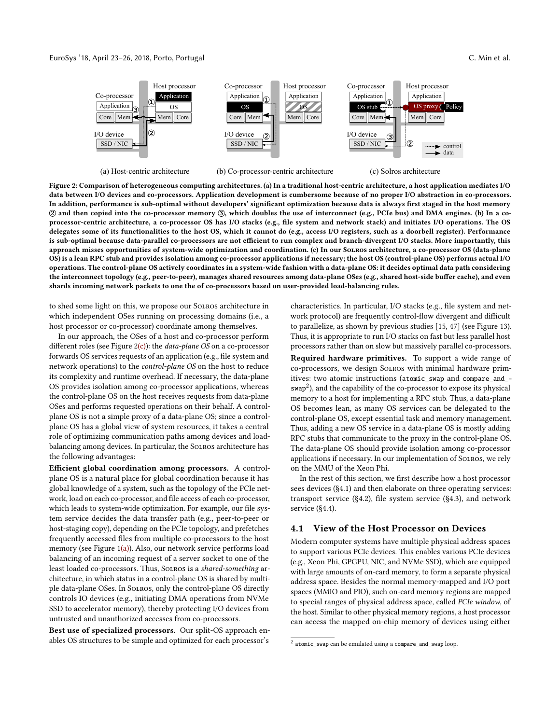#### <span id="page-3-0"></span>EuroSys '18, April 23–26, 2018, Porto, Portugal C. Min et al.



(a) Host-centric architecture

(b) Co-processor-centric architecture

(c) Solros architecture

Figure 2: Comparison of heterogeneous computing architectures. (a) In a traditional host-centric architecture, a host application mediates I/O data between I/O devices and co-processors. Application development is cumbersome because of no proper I/O abstraction in co-processors. In addition, performance is sub-optimal without developers' significant optimization because data is always first staged in the host memory 2 and then copied into the co-processor memory 3, which doubles the use of interconnect (e.g., PCIe bus) and DMA engines. (b) In a coprocessor-centric architecture, a co-processor OS has I/O stacks (e.g., file system and network stack) and initiates I/O operations. The OS delegates some of its functionalities to the host OS, which it cannot do (e.g., access I/O registers, such as a doorbell register). Performance is sub-optimal because data-parallel co-processors are not efficient to run complex and branch-divergent I/O stacks. More importantly, this approach misses opportunities of system-wide optimization and coordination. (c) In our Solros architecture, a co-processor OS (data-plane OS) is a lean RPC stub and provides isolation among co-processor applications if necessary; the host OS (control-plane OS) performs actual I/O operations. The control-plane OS actively coordinates in a system-wide fashion with a data-plane OS: it decides optimal data path considering the interconnect topology (e.g., peer-to-peer), manages shared resources among data-plane OSes (e.g., shared host-side buffer cache), and even shards incoming network packets to one the of co-processors based on user-provided load-balancing rules.

to shed some light on this, we propose our Solros architecture in which independent OSes running on processing domains (i.e., a host processor or co-processor) coordinate among themselves.

In our approach, the OSes of a host and co-processor perform different roles (see Figure  $2(c)$ ): the *data-plane OS* on a co-processor forwards OS services requests of an application (e.g., file system and network operations) to the control-plane OS on the host to reduce its complexity and runtime overhead. If necessary, the data-plane OS provides isolation among co-processor applications, whereas the control-plane OS on the host receives requests from data-plane OSes and performs requested operations on their behalf. A controlplane OS is not a simple proxy of a data-plane OS; since a controlplane OS has a global view of system resources, it takes a central role of optimizing communication paths among devices and loadbalancing among devices. In particular, the Solros architecture has the following advantages:

Efficient global coordination among processors. A controlplane OS is a natural place for global coordination because it has global knowledge of a system, such as the topology of the PCIe network, load on each co-processor, and file access of each co-processor, which leads to system-wide optimization. For example, our file system service decides the data transfer path (e.g., peer-to-peer or host-staging copy), depending on the PCIe topology, and prefetches frequently accessed files from multiple co-processors to the host memory (see [Figure 1\(](#page-1-0)a)). Also, our network service performs load balancing of an incoming request of a server socket to one of the least loaded co-processors. Thus, Solros is a shared-something architecture, in which status in a control-plane OS is shared by multiple data-plane OSes. In Solros, only the control-plane OS directly controls IO devices (e.g., initiating DMA operations from NVMe SSD to accelerator memory), thereby protecting I/O devices from untrusted and unauthorized accesses from co-processors.

Best use of specialized processors. Our split-OS approach enables OS structures to be simple and optimized for each processor's characteristics. In particular, I/O stacks (e.g., file system and network protocol) are frequently control-flow divergent and difficult to parallelize, as shown by previous studies [\[15,](#page-13-5) [47\]](#page-13-24) (see [Figure 13\)](#page-9-0). Thus, it is appropriate to run I/O stacks on fast but less parallel host processors rather than on slow but massively parallel co-processors.

Required hardware primitives. To support a wide range of co-processors, we design Solros with minimal hardware primitives: two atomic instructions (atomic\_swap and compare\_and\_-  $\textsf{swap}^2$  $\textsf{swap}^2$ ), and the capability of the co-processor to expose its physical memory to a host for implementing a RPC stub. Thus, a data-plane OS becomes lean, as many OS services can be delegated to the control-plane OS, except essential task and memory management. Thus, adding a new OS service in a data-plane OS is mostly adding RPC stubs that communicate to the proxy in the control-plane OS. The data-plane OS should provide isolation among co-processor applications if necessary. In our implementation of Solros, we rely on the MMU of the Xeon Phi.

In the rest of this section, we first describe how a host processor sees devices [\(§4.1\)](#page-3-2) and then elaborate on three operating services: transport service [\(§4.2\)](#page-4-0), file system service [\(§4.3\)](#page-5-0), and network service [\(§4.4\)](#page-6-0).

# <span id="page-3-2"></span>4.1 View of the Host Processor on Devices

Modern computer systems have multiple physical address spaces to support various PCIe devices. This enables various PCIe devices (e.g., Xeon Phi, GPGPU, NIC, and NVMe SSD), which are equipped with large amounts of on-card memory, to form a separate physical address space. Besides the normal memory-mapped and I/O port spaces (MMIO and PIO), such on-card memory regions are mapped to special ranges of physical address space, called PCIe window, of the host. Similar to other physical memory regions, a host processor can access the mapped on-chip memory of devices using either

<span id="page-3-1"></span><sup>&</sup>lt;sup>2</sup> atomic\_swap can be emulated using a compare\_and\_swap loop.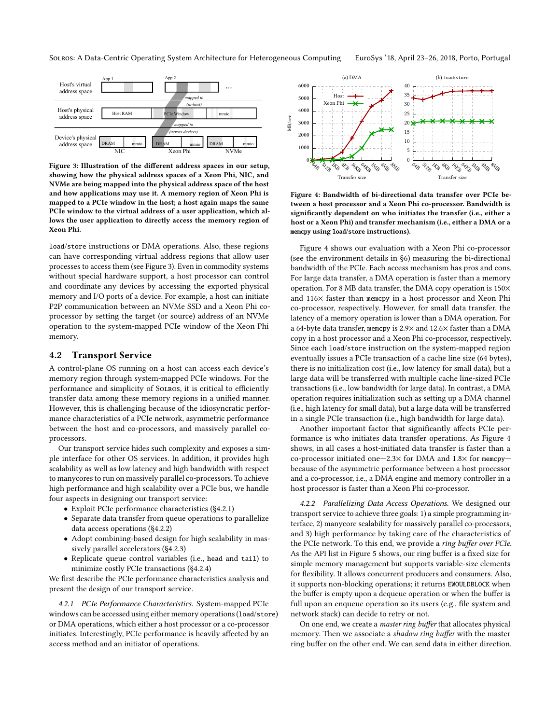<span id="page-4-1"></span>

Figure 3: Illustration of the different address spaces in our setup, showing how the physical address spaces of a Xeon Phi, NIC, and NVMe are being mapped into the physical address space of the host and how applications may use it. A memory region of Xeon Phi is mapped to a PCIe window in the host; a host again maps the same PCIe window to the virtual address of a user application, which allows the user application to directly access the memory region of Xeon Phi.

load/store instructions or DMA operations. Also, these regions can have corresponding virtual address regions that allow user processes to access them (see [Figure 3\)](#page-4-1). Even in commodity systems without special hardware support, a host processor can control and coordinate any devices by accessing the exported physical memory and I/O ports of a device. For example, a host can initiate P2P communication between an NVMe SSD and a Xeon Phi coprocessor by setting the target (or source) address of an NVMe operation to the system-mapped PCIe window of the Xeon Phi memory.

#### <span id="page-4-0"></span>4.2 Transport Service

A control-plane OS running on a host can access each device's memory region through system-mapped PCIe windows. For the performance and simplicity of Solros, it is critical to efficiently transfer data among these memory regions in a unified manner. However, this is challenging because of the idiosyncratic performance characteristics of a PCIe network, asymmetric performance between the host and co-processors, and massively parallel coprocessors.

Our transport service hides such complexity and exposes a simple interface for other OS services. In addition, it provides high scalability as well as low latency and high bandwidth with respect to manycores to run on massively parallel co-processors. To achieve high performance and high scalability over a PCIe bus, we handle four aspects in designing our transport service:

- Exploit PCIe performance characteristics [\(§4.2.1\)](#page-4-2)
- Separate data transfer from queue operations to parallelize data access operations [\(§4.2.2\)](#page-4-3)
- Adopt combining-based design for high scalability in massively parallel accelerators [\(§4.2.3\)](#page-5-1)
- Replicate queue control variables (i.e., head and tail) to minimize costly PCIe transactions [\(§4.2.4\)](#page-5-2)

We first describe the PCIe performance characteristics analysis and present the design of our transport service.

<span id="page-4-2"></span>4.2.1 PCIe Performance Characteristics. System-mapped PCIe windows can be accessed using either memory operations (load/store) or DMA operations, which either a host processor or a co-processor initiates. Interestingly, PCIe performance is heavily affected by an access method and an initiator of operations.

<span id="page-4-4"></span>

Figure 4: Bandwidth of bi-directional data transfer over PCIe between a host processor and a Xeon Phi co-processor. Bandwidth is significantly dependent on who initiates the transfer (i.e., either a host or a Xeon Phi) and transfer mechanism (i.e., either a DMA or a memcpy using load/store instructions).

[Figure 4](#page-4-4) shows our evaluation with a Xeon Phi co-processor (see the environment details in [§6\)](#page-8-0) measuring the bi-directional bandwidth of the PCIe. Each access mechanism has pros and cons. For large data transfer, a DMA operation is faster than a memory operation. For 8 MB data transfer, the DMA copy operation is 150× and 116× faster than memcpy in a host processor and Xeon Phi co-processor, respectively. However, for small data transfer, the latency of a memory operation is lower than a DMA operation. For a 64-byte data transfer, memcpy is 2.9× and 12.6× faster than a DMA copy in a host processor and a Xeon Phi co-processor, respectively. Since each load/store instruction on the system-mapped region eventually issues a PCIe transaction of a cache line size (64 bytes), there is no initialization cost (i.e., low latency for small data), but a large data will be transferred with multiple cache line-sized PCIe transactions (i.e., low bandwidth for large data). In contrast, a DMA operation requires initialization such as setting up a DMA channel (i.e., high latency for small data), but a large data will be transferred in a single PCIe transaction (i.e., high bandwidth for large data).

Another important factor that significantly affects PCIe performance is who initiates data transfer operations. As [Figure 4](#page-4-4) shows, in all cases a host-initiated data transfer is faster than a co-processor initiated one—2.3× for DMA and 1.8× for memcpy because of the asymmetric performance between a host processor and a co-processor, i.e., a DMA engine and memory controller in a host processor is faster than a Xeon Phi co-processor.

<span id="page-4-3"></span>4.2.2 Parallelizing Data Access Operations. We designed our transport service to achieve three goals: 1) a simple programming interface, 2) manycore scalability for massively parallel co-processors, and 3) high performance by taking care of the characteristics of the PCIe network. To this end, we provide a ring buffer over PCIe. As the API list in [Figure 5](#page-5-3) shows, our ring buffer is a fixed size for simple memory management but supports variable-size elements for flexibility. It allows concurrent producers and consumers. Also, it supports non-blocking operations; it returns EWOULDBLOCK when the buffer is empty upon a dequeue operation or when the buffer is full upon an enqueue operation so its users (e.g., file system and network stack) can decide to retry or not.

On one end, we create a master ring buffer that allocates physical memory. Then we associate a shadow ring buffer with the master ring buffer on the other end. We can send data in either direction.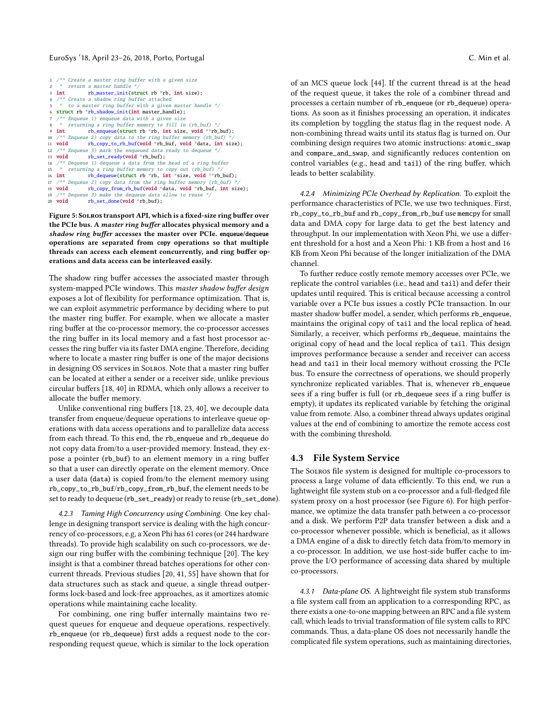#### EuroSys '18, April 23–26, 2018, Porto, Portugal C. Min et al.

```
1 /** Create a master ring buffer with a given size
2 * return a master handle *<br>3 int b master init(st
                 rb master init(struct rb *rb, int size):
4 /** Create a shadow ring buffer attached
    * to a master ring buffer with a given master handle */6 struct rb *rb shadow init(int master handle):
   /* Enqueue 1) enqueue data with a given size
     * returning a ring buffer memory to fill in (rb_buf) */
9 int rb_enqueue(struct rb *rb, int size, void **rb_buf);<br>10 /** Enqueue 2) copy data to the ring buffer memory (rb_buf) */
11 void rb_copy_to_rb_buf(void *rb_buf, void *data, int size);
12 /** Enqueue 3) mark the enqueued data ready to dequeue *13 void rb\_set\_ready(void *rb\_buf);rb_set_ready(void *rb_buf);
14 /* Dequeue 1) dequeue a data from the head of a ring buffer
15 * returning a ring buffer memory to copy out (rb_buf) */<br>16 int         rb_dequeue(struct rb *rb, int *size, void **rb_buf);
17 /** Dequeue 2) copy data from the ring buffer memory (rb_buf)
18 void rb_copy_from_rb_buf(void *data, void *rb_buf, int size);<br>19 /** Dequeue 3) make the dequeue data allow to reuse */<br>20 void rb_set_done(void *rb_buf);
```
Figure 5: Solros transport API, which is a fixed-size ring buffer over the PCIe bus. A master ring buffer allocates physical memory and a shadow ring buffer accesses the master over PCIe. enqueue/dequeue operations are separated from copy operations so that multiple threads can access each element concurrently, and ring buffer operations and data access can be interleaved easily.

The shadow ring buffer accesses the associated master through system-mapped PCIe windows. This master shadow buffer design exposes a lot of flexibility for performance optimization. That is, we can exploit asymmetric performance by deciding where to put the master ring buffer. For example, when we allocate a master ring buffer at the co-processor memory, the co-processor accesses the ring buffer in its local memory and a fast host processor accesses the ring buffer via its faster DMA engine. Therefore, deciding where to locate a master ring buffer is one of the major decisions in designing OS services in Solros. Note that a master ring buffer can be located at either a sender or a receiver side, unlike previous circular buffers [\[18,](#page-13-25) [40\]](#page-13-26) in RDMA, which only allows a receiver to allocate the buffer memory.

Unlike conventional ring buffers [\[18,](#page-13-25) [23,](#page-13-27) [40\]](#page-13-26), we decouple data transfer from enqueue/dequeue operations to interleave queue operations with data access operations and to parallelize data access from each thread. To this end, the rb\_enqueue and rb\_dequeue do not copy data from/to a user-provided memory. Instead, they expose a pointer (rb\_buf) to an element memory in a ring buffer so that a user can directly operate on the element memory. Once a user data (data) is copied from/to the element memory using rb\_copy\_to\_rb\_buf/rb\_copy\_from\_rb\_buf, the element needs to be set to ready to dequeue (rb\_set\_ready) or ready to reuse (rb\_set\_done).

<span id="page-5-1"></span>4.2.3 Taming High Concurrency using Combining. One key challenge in designing transport service is dealing with the high concurrency of co-processors, e.g, a Xeon Phi has 61 cores (or 244 hardware threads). To provide high scalability on such co-processors, we design our ring buffer with the combining technique [\[20\]](#page-13-28). The key insight is that a combiner thread batches operations for other concurrent threads. Previous studies [\[20,](#page-13-28) [41,](#page-13-29) [55\]](#page-14-11) have shown that for data structures such as stack and queue, a single thread outperforms lock-based and lock-free approaches, as it amortizes atomic operations while maintaining cache locality.

For combining, one ring buffer internally maintains two request queues for enqueue and dequeue operations, respectively. rb\_enqueue (or rb\_dequeue) first adds a request node to the corresponding request queue, which is similar to the lock operation

of an MCS queue lock [\[44\]](#page-13-30). If the current thread is at the head

of the request queue, it takes the role of a combiner thread and processes a certain number of rb\_enqueue (or rb\_dequeue) operations. As soon as it finishes processing an operation, it indicates its completion by toggling the status flag in the request node. A non-combining thread waits until its status flag is turned on. Our combining design requires two atomic instructions: atomic\_swap and compare\_and\_swap, and significantly reduces contention on control variables (e.g., head and tail) of the ring buffer, which leads to better scalability.

<span id="page-5-2"></span>4.2.4 Minimizing PCIe Overhead by Replication. To exploit the performance characteristics of PCIe, we use two techniques. First, rb\_copy\_to\_rb\_buf and rb\_copy\_from\_rb\_buf use memcpy for small data and DMA copy for large data to get the best latency and throughput. In our implementation with Xeon Phi, we use a different threshold for a host and a Xeon Phi: 1 KB from a host and 16 KB from Xeon Phi because of the longer initialization of the DMA channel.

To further reduce costly remote memory accesses over PCIe, we replicate the control variables (i.e., head and tail) and defer their updates until required. This is critical because accessing a control variable over a PCIe bus issues a costly PCIe transaction. In our master shadow buffer model, a sender, which performs rb\_enqueue, maintains the original copy of tail and the local replica of head. Similarly, a receiver, which performs rb\_dequeue, maintains the original copy of head and the local replica of tail. This design improves performance because a sender and receiver can access head and tail in their local memory without crossing the PCIe bus. To ensure the correctness of operations, we should properly synchronize replicated variables. That is, whenever rb\_enqueue sees if a ring buffer is full (or rb\_dequeue sees if a ring buffer is empty), it updates its replicated variable by fetching the original value from remote. Also, a combiner thread always updates original values at the end of combining to amortize the remote access cost with the combining threshold.

## <span id="page-5-0"></span>4.3 File System Service

The Solros file system is designed for multiple co-processors to process a large volume of data efficiently. To this end, we run a lightweight file system stub on a co-processor and a full-fledged file system proxy on a host processor (see [Figure 6\)](#page-6-1). For high performance, we optimize the data transfer path between a co-processor and a disk. We perform P2P data transfer between a disk and a co-processor whenever possible, which is beneficial, as it allows a DMA engine of a disk to directly fetch data from/to memory in a co-processor. In addition, we use host-side buffer cache to improve the I/O performance of accessing data shared by multiple co-processors.

4.3.1 Data-plane OS. A lightweight file system stub transforms a file system call from an application to a corresponding RPC, as there exists a one-to-one mapping between an RPC and a file system call, which leads to trivial transformation of file system calls to RPC commands. Thus, a data-plane OS does not necessarily handle the complicated file system operations, such as maintaining directories,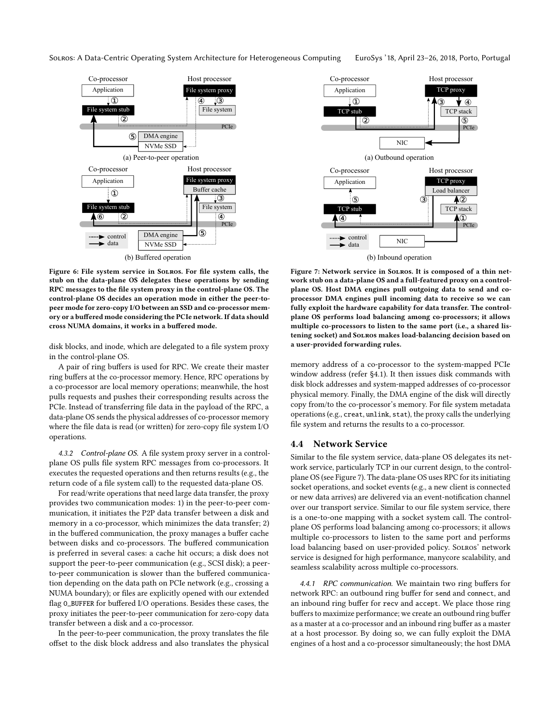<span id="page-6-1"></span>

Figure 6: File system service in Solros. For file system calls, the stub on the data-plane OS delegates these operations by sending RPC messages to the file system proxy in the control-plane OS. The control-plane OS decides an operation mode in either the peer-topeer mode for zero-copy I/O between an SSD and co-processor memory or a buffered mode considering the PCIe network. If data should cross NUMA domains, it works in a buffered mode.

disk blocks, and inode, which are delegated to a file system proxy in the control-plane OS.

A pair of ring buffers is used for RPC. We create their master ring buffers at the co-processor memory. Hence, RPC operations by a co-processor are local memory operations; meanwhile, the host pulls requests and pushes their corresponding results across the PCIe. Instead of transferring file data in the payload of the RPC, a data-plane OS sends the physical addresses of co-processor memory where the file data is read (or written) for zero-copy file system I/O operations.

4.3.2 Control-plane OS. A file system proxy server in a controlplane OS pulls file system RPC messages from co-processors. It executes the requested operations and then returns results (e.g., the return code of a file system call) to the requested data-plane OS.

For read/write operations that need large data transfer, the proxy provides two communication modes: 1) in the peer-to-peer communication, it initiates the P2P data transfer between a disk and memory in a co-processor, which minimizes the data transfer; 2) in the buffered communication, the proxy manages a buffer cache between disks and co-processors. The buffered communication is preferred in several cases: a cache hit occurs; a disk does not support the peer-to-peer communication (e.g., SCSI disk); a peerto-peer communication is slower than the buffered communication depending on the data path on PCIe network (e.g., crossing a NUMA boundary); or files are explicitly opened with our extended flag O\_BUFFER for buffered I/O operations. Besides these cases, the proxy initiates the peer-to-peer communication for zero-copy data transfer between a disk and a co-processor.

In the peer-to-peer communication, the proxy translates the file offset to the disk block address and also translates the physical

<span id="page-6-2"></span>

Figure 7: Network service in Solros. It is composed of a thin network stub on a data-plane OS and a full-featured proxy on a controlplane OS. Host DMA engines pull outgoing data to send and coprocessor DMA engines pull incoming data to receive so we can fully exploit the hardware capability for data transfer. The controlplane OS performs load balancing among co-processors; it allows multiple co-processors to listen to the same port (i.e., a shared listening socket) and Solros makes load-balancing decision based on a user-provided forwarding rules.

memory address of a co-processor to the system-mapped PCIe window address (refer [§4.1\)](#page-3-2). It then issues disk commands with disk block addresses and system-mapped addresses of co-processor physical memory. Finally, the DMA engine of the disk will directly copy from/to the co-processor's memory. For file system metadata operations (e.g., creat, unlink, stat), the proxy calls the underlying file system and returns the results to a co-processor.

#### <span id="page-6-0"></span>4.4 Network Service

Similar to the file system service, data-plane OS delegates its network service, particularly TCP in our current design, to the controlplane OS (see [Figure 7\)](#page-6-2). The data-plane OS uses RPC for its initiating socket operations, and socket events (e.g., a new client is connected or new data arrives) are delivered via an event-notification channel over our transport service. Similar to our file system service, there is a one-to-one mapping with a socket system call. The controlplane OS performs load balancing among co-processors; it allows multiple co-processors to listen to the same port and performs load balancing based on user-provided policy. Solros' network service is designed for high performance, manycore scalability, and seamless scalability across multiple co-processors.

4.4.1 RPC communication. We maintain two ring buffers for network RPC: an outbound ring buffer for send and connect, and an inbound ring buffer for recv and accept. We place those ring buffers to maximize performance; we create an outbound ring buffer as a master at a co-processor and an inbound ring buffer as a master at a host processor. By doing so, we can fully exploit the DMA engines of a host and a co-processor simultaneously; the host DMA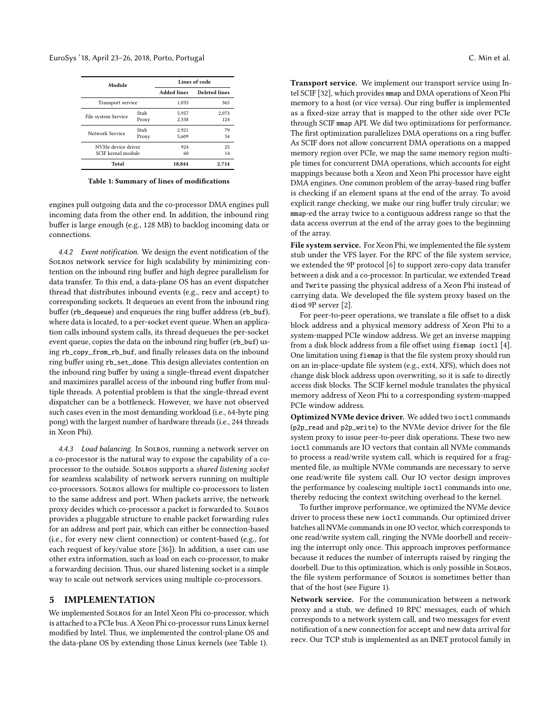<span id="page-7-1"></span>

| Module              |       | Lines of code      |                      |
|---------------------|-------|--------------------|----------------------|
|                     |       | <b>Added lines</b> | <b>Deleted lines</b> |
| Transport service   |       | 1.035              | 365                  |
| File system Service | Stub  | 5,957              | 2.073                |
|                     | Proxy | 2.338              | 124                  |
| Network Service     | Stub  | 2.921              | 79                   |
|                     | Proxy | 5.609              | 34                   |
| NVMe device driver  |       | 924                | 25                   |
| SCIF kernel module  |       | 60                 | 14                   |
| Total               |       | 18,844             | 2,714                |

Table 1: Summary of lines of modifications

engines pull outgoing data and the co-processor DMA engines pull incoming data from the other end. In addition, the inbound ring buffer is large enough (e.g., 128 MB) to backlog incoming data or connections.

4.4.2 Event notification. We design the event notification of the Solros network service for high scalability by minimizing contention on the inbound ring buffer and high degree parallelism for data transfer. To this end, a data-plane OS has an event dispatcher thread that distributes inbound events (e.g., recv and accept) to corresponding sockets. It dequeues an event from the inbound ring buffer (rb\_dequeue) and enqueues the ring buffer address (rb\_buf), where data is located, to a per-socket event queue. When an application calls inbound system calls, its thread dequeues the per-socket event queue, copies the data on the inbound ring buffer (rb\_buf) using rb\_copy\_from\_rb\_buf, and finally releases data on the inbound ring buffer using rb\_set\_done. This design alleviates contention on the inbound ring buffer by using a single-thread event dispatcher and maximizes parallel access of the inbound ring buffer from multiple threads. A potential problem is that the single-thread event dispatcher can be a bottleneck. However, we have not observed such cases even in the most demanding workload (i.e., 64-byte ping pong) with the largest number of hardware threads (i.e., 244 threads in Xeon Phi).

4.4.3 Load balancing. In Solros, running a network server on a co-processor is the natural way to expose the capability of a coprocessor to the outside. Solros supports a shared listening socket for seamless scalability of network servers running on multiple co-processors. Solros allows for multiple co-processors to listen to the same address and port. When packets arrive, the network proxy decides which co-processor a packet is forwarded to. Solros provides a pluggable structure to enable packet forwarding rules for an address and port pair, which can either be connection-based (i.e., for every new client connection) or content-based (e.g., for each request of key/value store [\[36\]](#page-13-31)). In addition, a user can use other extra information, such as load on each co-processor, to make a forwarding decision. Thus, our shared listening socket is a simple way to scale out network services using multiple co-processors.

#### <span id="page-7-0"></span>5 IMPLEMENTATION

We implemented Solros for an Intel Xeon Phi co-processor, which is attached to a PCIe bus. A Xeon Phi co-processor runs Linux kernel modified by Intel. Thus, we implemented the control-plane OS and the data-plane OS by extending those Linux kernels (see [Table 1\)](#page-7-1).

Transport service. We implement our transport service using Intel SCIF [\[32\]](#page-13-32), which provides mmap and DMA operations of Xeon Phi memory to a host (or vice versa). Our ring buffer is implemented as a fixed-size array that is mapped to the other side over PCIe through SCIF mmap API. We did two optimizations for performance. The first optimization parallelizes DMA operations on a ring buffer. As SCIF does not allow concurrent DMA operations on a mapped memory region over PCIe, we map the same memory region multiple times for concurrent DMA operations, which accounts for eight mappings because both a Xeon and Xeon Phi processor have eight DMA engines. One common problem of the array-based ring buffer is checking if an element spans at the end of the array. To avoid explicit range checking, we make our ring buffer truly circular; we mmap-ed the array twice to a contiguous address range so that the

File system service. For Xeon Phi, we implemented the file system stub under the VFS layer. For the RPC of the file system service, we extended the 9P protocol [\[6\]](#page-13-33) to support zero-copy data transfer between a disk and a co-processor. In particular, we extended Tread and Twrite passing the physical address of a Xeon Phi instead of carrying data. We developed the file system proxy based on the diod 9P server [\[2\]](#page-13-34).

data access overrun at the end of the array goes to the beginning

of the array.

For peer-to-peer operations, we translate a file offset to a disk block address and a physical memory address of Xeon Phi to a system-mapped PCIe window address. We get an inverse mapping from a disk block address from a file offset using fiemap ioctl [\[4\]](#page-13-35). One limitation using fiemap is that the file system proxy should run on an in-place-update file system (e.g., ext4, XFS), which does not change disk block address upon overwriting, so it is safe to directly access disk blocks. The SCIF kernel module translates the physical memory address of Xeon Phi to a corresponding system-mapped PCIe window address.

Optimized NVMe device driver. We added two ioctl commands (p2p\_read and p2p\_write) to the NVMe device driver for the file system proxy to issue peer-to-peer disk operations. These two new ioctl commands are IO vectors that contain all NVMe commands to process a read/write system call, which is required for a fragmented file, as multiple NVMe commands are necessary to serve one read/write file system call. Our IO vector design improves the performance by coalescing multiple ioctl commands into one, thereby reducing the context switching overhead to the kernel.

To further improve performance, we optimized the NVMe device driver to process these new ioctl commands. Our optimized driver batches all NVMe commands in one IO vector, which corresponds to one read/write system call, ringing the NVMe doorbell and receiving the interrupt only once. This approach improves performance because it reduces the number of interrupts raised by ringing the doorbell. Due to this optimization, which is only possible in Solros, the file system performance of Solros is sometimes better than that of the host (see [Figure 1\)](#page-1-0).

Network service. For the communication between a network proxy and a stub, we defined 10 RPC messages, each of which corresponds to a network system call, and two messages for event notification of a new connection for accept and new data arrival for recv. Our TCP stub is implemented as an INET protocol family in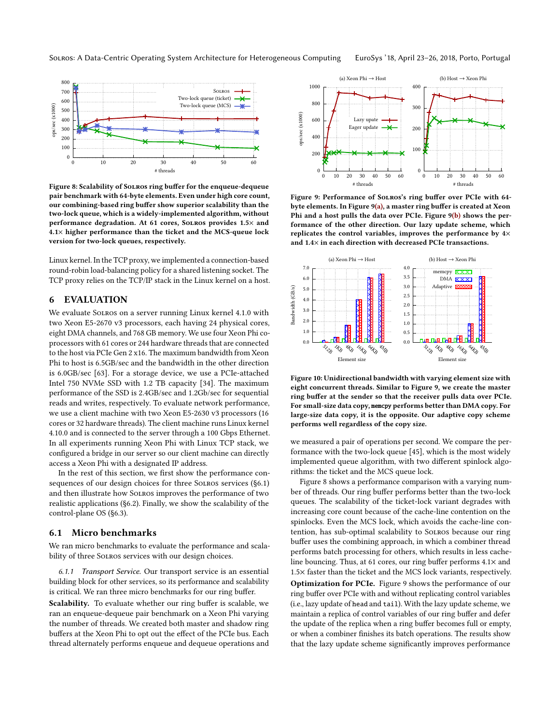<span id="page-8-3"></span>

Figure 8: Scalability of Solros ring buffer for the enqueue-dequeue pair benchmark with 64-byte elements. Even under high core count, our combining-based ring buffer show superior scalability than the two-lock queue, which is a widely-implemented algorithm, without performance degradation. At 61 cores, Solros provides 1.5× and 4.1× higher performance than the ticket and the MCS-queue lock version for two-lock queues, respectively.

Linux kernel. In the TCP proxy, we implemented a connection-based round-robin load-balancing policy for a shared listening socket. The TCP proxy relies on the TCP/IP stack in the Linux kernel on a host.

# <span id="page-8-0"></span>6 EVALUATION

We evaluate Solros on a server running Linux kernel 4.1.0 with two Xeon E5-2670 v3 processors, each having 24 physical cores, eight DMA channels, and 768 GB memory. We use four Xeon Phi coprocessors with 61 cores or 244 hardware threads that are connected to the host via PCIe Gen 2 x16. The maximum bandwidth from Xeon Phi to host is 6.5GB/sec and the bandwidth in the other direction is 6.0GB/sec [\[63\]](#page-14-12). For a storage device, we use a PCIe-attached Intel 750 NVMe SSD with 1.2 TB capacity [\[34\]](#page-13-36). The maximum performance of the SSD is 2.4GB/sec and 1.2Gb/sec for sequential reads and writes, respectively. To evaluate network performance, we use a client machine with two Xeon E5-2630 v3 processors (16 cores or 32 hardware threads). The client machine runs Linux kernel 4.10.0 and is connected to the server through a 100 Gbps Ethernet. In all experiments running Xeon Phi with Linux TCP stack, we configured a bridge in our server so our client machine can directly access a Xeon Phi with a designated IP address.

In the rest of this section, we first show the performance consequences of our design choices for three Solros services [\(§6.1\)](#page-8-1) and then illustrate how Solros improves the performance of two realistic applications [\(§6.2\)](#page-10-0). Finally, we show the scalability of the control-plane OS [\(§6.3\)](#page-11-1).

#### <span id="page-8-1"></span>6.1 Micro benchmarks

We ran micro benchmarks to evaluate the performance and scalability of three Solros services with our design choices.

6.1.1 Transport Service. Our transport service is an essential building block for other services, so its performance and scalability is critical. We ran three micro benchmarks for our ring buffer.

Scalability. To evaluate whether our ring buffer is scalable, we ran an enqueue-dequeue pair benchmark on a Xeon Phi varying the number of threads. We created both master and shadow ring buffers at the Xeon Phi to opt out the effect of the PCIe bus. Each thread alternately performs enqueue and dequeue operations and

<span id="page-8-2"></span>

Figure 9: Performance of Solros's ring buffer over PCIe with 64 byte elements. In [Figure 9\(](#page-8-2)a), a master ring buffer is created at Xeon Phi and a host pulls the data over PCIe. [Figure 9\(](#page-8-2)b) shows the performance of the other direction. Our lazy update scheme, which replicates the control variables, improves the performance by 4× and 1.4× in each direction with decreased PCIe transactions.



Figure 10: Unidirectional bandwidth with varying element size with eight concurrent threads. Similar to [Figure 9,](#page-8-2) we create the master ring buffer at the sender so that the receiver pulls data over PCIe. For small-size data copy, memcpy performs better than DMA copy. For large-size data copy, it is the opposite. Our adaptive copy scheme performs well regardless of the copy size.

we measured a pair of operations per second. We compare the performance with the two-lock queue [\[45\]](#page-13-37), which is the most widely implemented queue algorithm, with two different spinlock algorithms: the ticket and the MCS queue lock.

[Figure 8](#page-8-3) shows a performance comparison with a varying number of threads. Our ring buffer performs better than the two-lock queues. The scalability of the ticket-lock variant degrades with increasing core count because of the cache-line contention on the spinlocks. Even the MCS lock, which avoids the cache-line contention, has sub-optimal scalability to Solros because our ring buffer uses the combining approach, in which a combiner thread performs batch processing for others, which results in less cacheline bouncing. Thus, at 61 cores, our ring buffer performs 4.1× and 1.5× faster than the ticket and the MCS lock variants, respectively.

Optimization for PCIe. [Figure 9](#page-8-2) shows the performance of our ring buffer over PCIe with and without replicating control variables (i.e., lazy update of head and tail). With the lazy update scheme, we maintain a replica of control variables of our ring buffer and defer the update of the replica when a ring buffer becomes full or empty, or when a combiner finishes its batch operations. The results show that the lazy update scheme significantly improves performance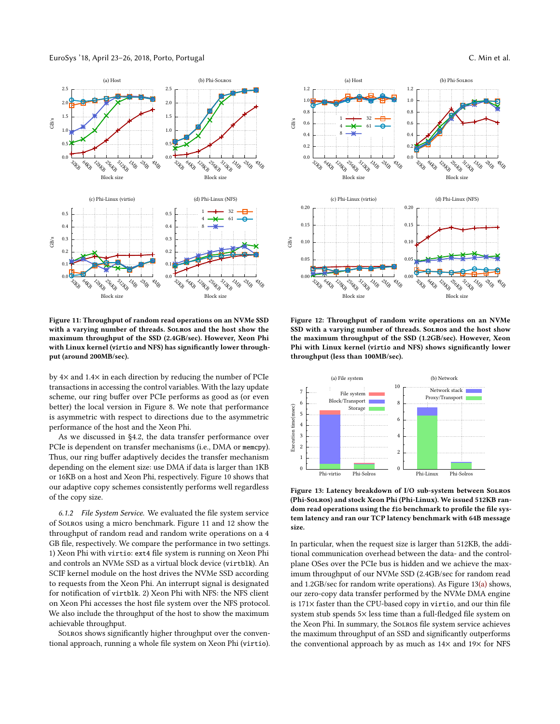EuroSys '18, April 23–26, 2018, Porto, Portugal C. Min et al.

<span id="page-9-1"></span>

Figure 11: Throughput of random read operations on an NVMe SSD with a varying number of threads. Solros and the host show the maximum throughput of the SSD (2.4GB/sec). However, Xeon Phi with Linux kernel (virtio and NFS) has significantly lower throughput (around 200MB/sec).

by 4× and 1.4× in each direction by reducing the number of PCIe transactions in accessing the control variables. With the lazy update scheme, our ring buffer over PCIe performs as good as (or even better) the local version in [Figure 8.](#page-8-3) We note that performance is asymmetric with respect to directions due to the asymmetric performance of the host and the Xeon Phi.

As we discussed in [§4.2,](#page-4-0) the data transfer performance over PCIe is dependent on transfer mechanisms (i.e., DMA or memcpy). Thus, our ring buffer adaptively decides the transfer mechanism depending on the element size: use DMA if data is larger than 1KB or 16KB on a host and Xeon Phi, respectively. [Figure 10](#page-8-2) shows that our adaptive copy schemes consistently performs well regardless of the copy size.

6.1.2 File System Service. We evaluated the file system service of Solros using a micro benchmark. [Figure 11](#page-9-1) and [12](#page-9-0) show the throughput of random read and random write operations on a 4 GB file, respectively. We compare the performance in two settings. 1) Xeon Phi with virtio: ext4 file system is running on Xeon Phi and controls an NVMe SSD as a virtual block device (virtblk). An SCIF kernel module on the host drives the NVMe SSD according to requests from the Xeon Phi. An interrupt signal is designated for notification of virtblk. 2) Xeon Phi with NFS: the NFS client on Xeon Phi accesses the host file system over the NFS protocol. We also include the throughput of the host to show the maximum achievable throughput.

Solros shows significantly higher throughput over the conventional approach, running a whole file system on Xeon Phi (virtio).

<span id="page-9-0"></span>

Figure 12: Throughput of random write operations on an NVMe SSD with a varying number of threads. Solros and the host show the maximum throughput of the SSD (1.2GB/sec). However, Xeon Phi with Linux kernel (virtio and NFS) shows significantly lower throughput (less than 100MB/sec).



Figure 13: Latency breakdown of I/O sub-system between Solros (Phi-Solros) and stock Xeon Phi (Phi-Linux). We issued 512KB random read operations using the fio benchmark to profile the file system latency and ran our TCP latency benchmark with 64B message size.

In particular, when the request size is larger than 512KB, the additional communication overhead between the data- and the controlplane OSes over the PCIe bus is hidden and we achieve the maximum throughput of our NVMe SSD (2.4GB/sec for random read and 1.2GB/sec for random write operations). As [Figure 13\(](#page-9-0)a) shows, our zero-copy data transfer performed by the NVMe DMA engine is 171× faster than the CPU-based copy in virtio, and our thin file system stub spends 5× less time than a full-fledged file system on the Xeon Phi. In summary, the Solros file system service achieves the maximum throughput of an SSD and significantly outperforms the conventional approach by as much as  $14\times$  and  $19\times$  for NFS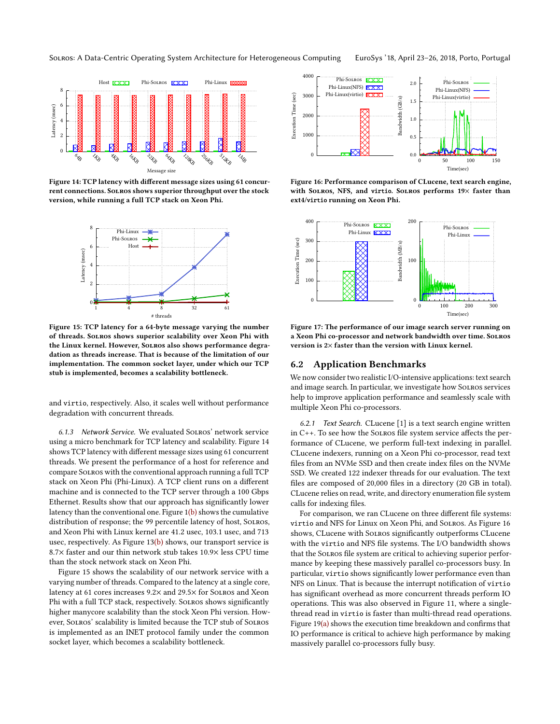<span id="page-10-1"></span>Host **KXX** Phi-Solros **KXX** Phi-Linux **K** 8 Latency (msec) 6 Latency (msec) 4 2  $\theta$ 128KB **XISCON** a sidoo **AB** 1<sub>6KB</sub> **SAB** oska **IMB**  $4\sigma$ q<br>M Message size

Figure 14: TCP latency with different message sizes using 61 concurrent connections. Solros shows superior throughput over the stock version, while running a full TCP stack on Xeon Phi.



Figure 15: TCP latency for a 64-byte message varying the number of threads. Solros shows superior scalability over Xeon Phi with the Linux kernel. However, Solros also shows performance degradation as threads increase. That is because of the limitation of our implementation. The common socket layer, under which our TCP stub is implemented, becomes a scalability bottleneck.

and virtio, respectively. Also, it scales well without performance degradation with concurrent threads.

6.1.3 Network Service. We evaluated Solros' network service using a micro benchmark for TCP latency and scalability. [Figure 14](#page-10-1) shows TCP latency with different message sizes using 61 concurrent threads. We present the performance of a host for reference and compare Solros with the conventional approach running a full TCP stack on Xeon Phi (Phi-Linux). A TCP client runs on a different machine and is connected to the TCP server through a 100 Gbps Ethernet. Results show that our approach has significantly lower latency than the conventional one. Figure  $1(b)$  shows the cumulative distribution of response; the 99 percentile latency of host, Solros, and Xeon Phi with Linux kernel are 41.2 usec, 103.1 usec, and 713 usec, respectively. As [Figure 13\(](#page-9-0)b) shows, our transport service is 8.7× faster and our thin network stub takes 10.9× less CPU time than the stock network stack on Xeon Phi.

[Figure 15](#page-10-1) shows the scalability of our network service with a varying number of threads. Compared to the latency at a single core, latency at 61 cores increases 9.2× and 29.5× for Solros and Xeon Phi with a full TCP stack, respectively. Solros shows significantly higher manycore scalability than the stock Xeon Phi version. However, Solros' scalability is limited because the TCP stub of Solros is implemented as an INET protocol family under the common socket layer, which becomes a scalability bottleneck.

<span id="page-10-2"></span>

Figure 16: Performance comparison of CLucene, text search engine, with Solros, NFS, and virtio. Solros performs  $19\times$  faster than ext4/virtio running on Xeon Phi.



Figure 17: The performance of our image search server running on a Xeon Phi co-processor and network bandwidth over time. Solros version is 2× faster than the version with Linux kernel.

#### <span id="page-10-0"></span>6.2 Application Benchmarks

We now consider two realistic I/O-intensive applications: text search and image search. In particular, we investigate how Solros services help to improve application performance and seamlessly scale with multiple Xeon Phi co-processors.

6.2.1 Text Search. CLucene [\[1\]](#page-13-38) is a text search engine written in C++. To see how the Solros file system service affects the performance of CLucene, we perform full-text indexing in parallel. CLucene indexers, running on a Xeon Phi co-processor, read text files from an NVMe SSD and then create index files on the NVMe SSD. We created 122 indexer threads for our evaluation. The text files are composed of 20,000 files in a directory (20 GB in total). CLucene relies on read, write, and directory enumeration file system calls for indexing files.

For comparison, we ran CLucene on three different file systems: virtio and NFS for Linux on Xeon Phi, and Solros. As [Figure 16](#page-10-2) shows, CLucene with Solros significantly outperforms CLucene with the virtio and NFS file systems. The I/O bandwidth shows that the Solros file system are critical to achieving superior performance by keeping these massively parallel co-processors busy. In particular, virtio shows significantly lower performance even than NFS on Linux. That is because the interrupt notification of virtio has significant overhead as more concurrent threads perform IO operations. This was also observed in [Figure 11,](#page-9-1) where a singlethread read in virtio is faster than multi-thread read operations. [Figure 19\(](#page-11-2)a) shows the execution time breakdown and confirms that IO performance is critical to achieve high performance by making massively parallel co-processors fully busy.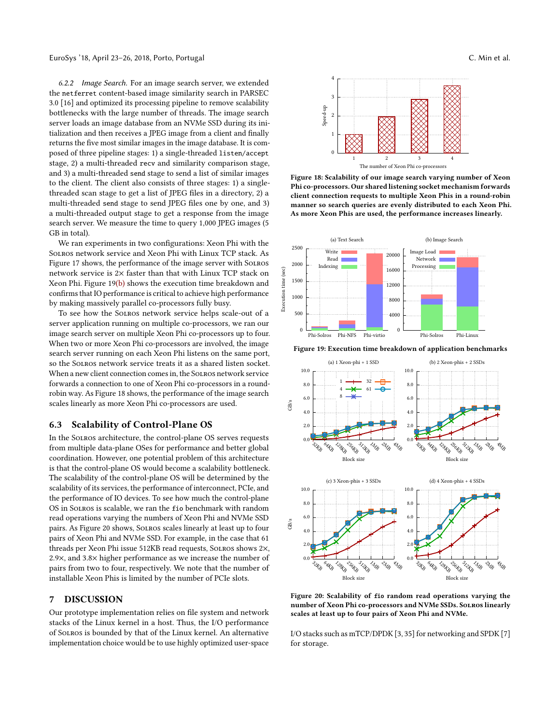6.2.2 Image Search. For an image search server, we extended the netferret content-based image similarity search in PARSEC 3.0 [\[16\]](#page-13-39) and optimized its processing pipeline to remove scalability bottlenecks with the large number of threads. The image search server loads an image database from an NVMe SSD during its initialization and then receives a JPEG image from a client and finally returns the five most similar images in the image database. It is composed of three pipeline stages: 1) a single-threaded listen/accept stage, 2) a multi-threaded recv and similarity comparison stage, and 3) a multi-threaded send stage to send a list of similar images to the client. The client also consists of three stages: 1) a singlethreaded scan stage to get a list of JPEG files in a directory, 2) a multi-threaded send stage to send JPEG files one by one, and 3) a multi-threaded output stage to get a response from the image search server. We measure the time to query 1,000 JPEG images (5 GB in total).

We ran experiments in two configurations: Xeon Phi with the Solros network service and Xeon Phi with Linux TCP stack. As [Figure 17](#page-10-2) shows, the performance of the image server with Solros network service is 2× faster than that with Linux TCP stack on Xeon Phi. [Figure 19\(](#page-11-2)b) shows the execution time breakdown and confirms that IO performance is critical to achieve high performance by making massively parallel co-processors fully busy.

To see how the Solros network service helps scale-out of a server application running on multiple co-processors, we ran our image search server on multiple Xeon Phi co-processors up to four. When two or more Xeon Phi co-processors are involved, the image search server running on each Xeon Phi listens on the same port, so the Solros network service treats it as a shared listen socket. When a new client connection comes in, the Solros network service forwards a connection to one of Xeon Phi co-processors in a roundrobin way. As [Figure 18](#page-11-2) shows, the performance of the image search scales linearly as more Xeon Phi co-processors are used.

#### <span id="page-11-1"></span>6.3 Scalability of Control-Plane OS

In the Solros architecture, the control-plane OS serves requests from multiple data-plane OSes for performance and better global coordination. However, one potential problem of this architecture is that the control-plane OS would become a scalability bottleneck. The scalability of the control-plane OS will be determined by the scalability of its services, the performance of interconnect, PCIe, and the performance of IO devices. To see how much the control-plane OS in Solros is scalable, we ran the fio benchmark with random read operations varying the numbers of Xeon Phi and NVMe SSD pairs. As [Figure 20](#page-11-3) shows, Solros scales linearly at least up to four pairs of Xeon Phi and NVMe SSD. For example, in the case that 61 threads per Xeon Phi issue 512KB read requests, Solros shows 2×, 2.9×, and 3.8× higher performance as we increase the number of pairs from two to four, respectively. We note that the number of installable Xeon Phis is limited by the number of PCIe slots.

# <span id="page-11-0"></span>7 DISCUSSION

Our prototype implementation relies on file system and network stacks of the Linux kernel in a host. Thus, the I/O performance of Solros is bounded by that of the Linux kernel. An alternative implementation choice would be to use highly optimized user-space

<span id="page-11-2"></span>

Figure 18: Scalability of our image search varying number of Xeon Phi co-processors. Our shared listening socket mechanism forwards client connection requests to multiple Xeon Phis in a round-robin manner so search queries are evenly distributed to each Xeon Phi. As more Xeon Phis are used, the performance increases linearly.





<span id="page-11-3"></span>Figure 19: Execution time breakdown of application benchmarks

Figure 20: Scalability of fio random read operations varying the number of Xeon Phi co-processors and NVMe SSDs. Solros linearly scales at least up to four pairs of Xeon Phi and NVMe.

I/O stacks such as mTCP/DPDK [\[3,](#page-13-40) [35\]](#page-13-41) for networking and SPDK [\[7\]](#page-13-42) for storage.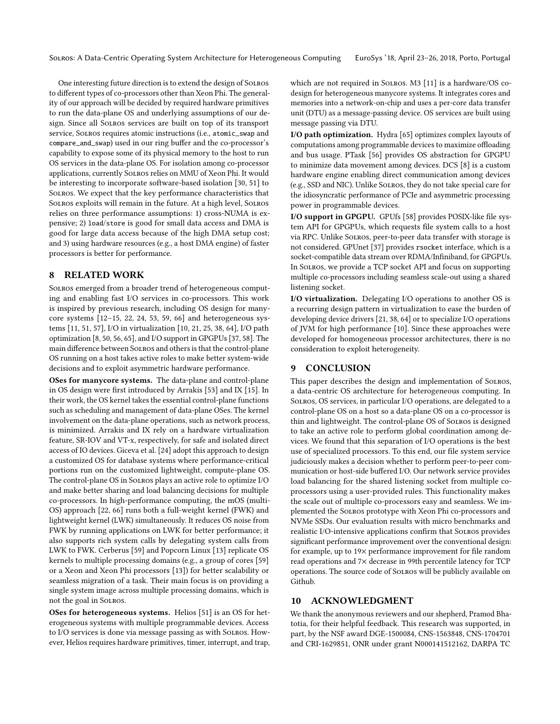One interesting future direction is to extend the design of Solros to different types of co-processors other than Xeon Phi. The generality of our approach will be decided by required hardware primitives to run the data-plane OS and underlying assumptions of our design. Since all Solros services are built on top of its transport service, Solros requires atomic instructions (i.e., atomic\_swap and compare\_and\_swap) used in our ring buffer and the co-processor's capability to expose some of its physical memory to the host to run OS services in the data-plane OS. For isolation among co-processor applications, currently Solros relies on MMU of Xeon Phi. It would be interesting to incorporate software-based isolation [\[30,](#page-13-43) [51\]](#page-14-4) to Solros. We expect that the key performance characteristics that Solros exploits will remain in the future. At a high level, Solros relies on three performance assumptions: 1) cross-NUMA is expensive; 2) load/store is good for small data access and DMA is good for large data access because of the high DMA setup cost; and 3) using hardware resources (e.g., a host DMA engine) of faster processors is better for performance.

### <span id="page-12-0"></span>8 RELATED WORK

Solros emerged from a broader trend of heterogeneous computing and enabling fast I/O services in co-processors. This work is inspired by previous research, including OS design for manycore systems [\[12–](#page-13-22)[15,](#page-13-5) [22,](#page-13-4) [24,](#page-13-44) [53,](#page-14-5) [59,](#page-14-13) [66\]](#page-14-3) and heterogeneous systems [\[11,](#page-13-45) [51,](#page-14-4) [57\]](#page-14-14), I/O in virtualization [\[10,](#page-13-46) [21,](#page-13-2) [25,](#page-13-47) [38,](#page-13-3) [64\]](#page-14-2), I/O path optimization [\[8,](#page-13-1) [50,](#page-14-15) [56,](#page-14-16) [65\]](#page-14-17), and I/O support in GPGPUs [\[37,](#page-13-0) [58\]](#page-14-1). The main difference between Solros and others is that the control-plane OS running on a host takes active roles to make better system-wide decisions and to exploit asymmetric hardware performance.

OSes for manycore systems. The data-plane and control-plane in OS design were first introduced by Arrakis [\[53\]](#page-14-5) and IX [\[15\]](#page-13-5). In their work, the OS kernel takes the essential control-plane functions such as scheduling and management of data-plane OSes. The kernel involvement on the data-plane operations, such as network process, is minimized. Arrakis and IX rely on a hardware virtualization feature, SR-IOV and VT-x, respectively, for safe and isolated direct access of IO devices. Giceva et al. [\[24\]](#page-13-44) adopt this approach to design a customized OS for database systems where performance-critical portions run on the customized lightweight, compute-plane OS. The control-plane OS in Solros plays an active role to optimize I/O and make better sharing and load balancing decisions for multiple co-processors. In high-performance computing, the mOS (multi-OS) approach [\[22,](#page-13-4) [66\]](#page-14-3) runs both a full-weight kernel (FWK) and lightweight kernel (LWK) simultaneously. It reduces OS noise from FWK by running applications on LWK for better performance; it also supports rich system calls by delegating system calls from LWK to FWK. Cerberus [\[59\]](#page-14-13) and Popcorn Linux [\[13\]](#page-13-16) replicate OS kernels to multiple processing domains (e.g., a group of cores [\[59\]](#page-14-13) or a Xeon and Xeon Phi processors [\[13\]](#page-13-16)) for better scalability or seamless migration of a task. Their main focus is on providing a single system image across multiple processing domains, which is not the goal in Solros.

OSes for heterogeneous systems. Helios [\[51\]](#page-14-4) is an OS for heterogeneous systems with multiple programmable devices. Access to I/O services is done via message passing as with Solros. However, Helios requires hardware primitives, timer, interrupt, and trap, which are not required in Solros. M3 [\[11\]](#page-13-45) is a hardware/OS codesign for heterogeneous manycore systems. It integrates cores and memories into a network-on-chip and uses a per-core data transfer unit (DTU) as a message-passing device. OS services are built using message passing via DTU.

I/O path optimization. Hydra [\[65\]](#page-14-17) optimizes complex layouts of computations among programmable devices to maximize offloading and bus usage. PTask [\[56\]](#page-14-16) provides OS abstraction for GPGPU to minimize data movement among devices. DCS [\[8\]](#page-13-1) is a custom hardware engine enabling direct communication among devices (e.g., SSD and NIC). Unlike Solros, they do not take special care for the idiosyncratic performance of PCIe and asymmetric processing power in programmable devices.

I/O support in GPGPU. GPUfs [\[58\]](#page-14-1) provides POSIX-like file system API for GPGPUs, which requests file system calls to a host via RPC. Unlike Solros, peer-to-peer data transfer with storage is not considered. GPUnet [\[37\]](#page-13-0) provides rsocket interface, which is a socket-compatible data stream over RDMA/Infiniband, for GPGPUs. In Solros, we provide a TCP socket API and focus on supporting multiple co-processors including seamless scale-out using a shared listening socket.

I/O virtualization. Delegating I/O operations to another OS is a recurring design pattern in virtualization to ease the burden of developing device drivers [\[21,](#page-13-2) [38,](#page-13-3) [64\]](#page-14-2) or to specialize I/O operations of JVM for high performance [\[10\]](#page-13-46). Since these approaches were developed for homogeneous processor architectures, there is no consideration to exploit heterogeneity.

# <span id="page-12-1"></span>9 CONCLUSION

This paper describes the design and implementation of Solros, a data-centric OS architecture for heterogeneous computing. In Solros, OS services, in particular I/O operations, are delegated to a control-plane OS on a host so a data-plane OS on a co-processor is thin and lightweight. The control-plane OS of Solros is designed to take an active role to perform global coordination among devices. We found that this separation of I/O operations is the best use of specialized processors. To this end, our file system service judiciously makes a decision whether to perform peer-to-peer communication or host-side buffered I/O. Our network service provides load balancing for the shared listening socket from multiple coprocessors using a user-provided rules. This functionality makes the scale out of multiple co-processors easy and seamless. We implemented the Solros prototype with Xeon Phi co-processors and NVMe SSDs. Our evaluation results with micro benchmarks and realistic I/O-intensive applications confirm that Solros provides significant performance improvement over the conventional design: for example, up to 19× performance improvement for file random read operations and 7× decrease in 99th percentile latency for TCP operations. The source code of Solros will be publicly available on Github.

#### **ACKNOWLEDGMENT**

We thank the anonymous reviewers and our shepherd, Pramod Bhatotia, for their helpful feedback. This research was supported, in part, by the NSF award DGE-1500084, CNS-1563848, CNS-1704701 and CRI-1629851, ONR under grant N000141512162, DARPA TC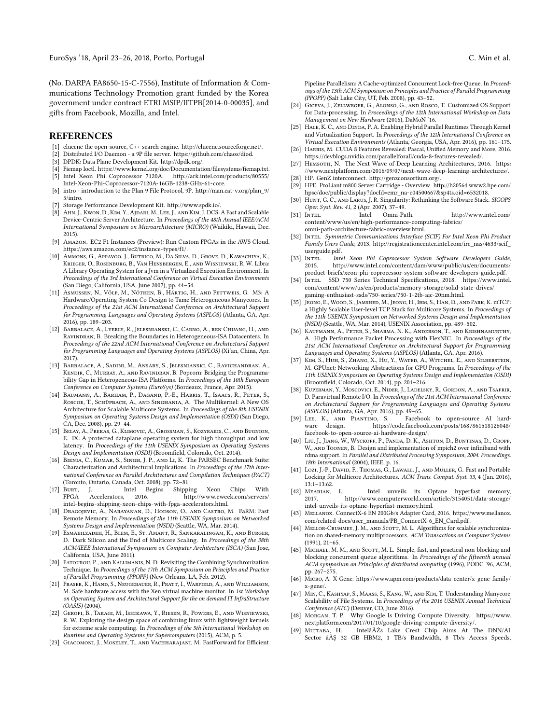(No. DARPA FA8650-15-C-7556), Institute of Information & Communications Technology Promotion grant funded by the Korea government under contract ETRI MSIP/IITPB[2014-0-00035], and gifts from Facebook, Mozilla, and Intel.

#### REFERENCES

- <span id="page-13-38"></span>[1] clucene the open-source, C++ search engine. [http://clucene.sourceforge.net/.](http://clucene.sourceforge.net/)
- <span id="page-13-34"></span>[2] Distributed I/O Daemon - a 9P file server. [https://github.com/chaos/diod.](https://github.com/chaos/diod)
- <span id="page-13-40"></span>[3] DPDK: Data Plane Development Kit. [http://dpdk.org/.](http://dpdk.org/)
- <span id="page-13-35"></span><span id="page-13-13"></span>Fiemap Ioctl. [https://www.kernel.org/doc/Documentation/filesystems/fiemap.txt.](https://www.kernel.org/doc/Documentation/filesystems/fiemap.txt) [5] Intel Xeon Phi Coprocessor 7120A. [http://ark.intel.com/products/80555/](http://ark.intel.com/products/80555/Intel-Xeon-Phi-Coprocessor-7120A-16GB-1238-GHz-61-core)
- <span id="page-13-33"></span>[Intel-Xeon-Phi-Coprocessor-7120A-16GB-1238-GHz-61-core.](http://ark.intel.com/products/80555/Intel-Xeon-Phi-Coprocessor-7120A-16GB-1238-GHz-61-core) [6] intro - introduction to the Plan 9 File Protocol, 9P. [http://man.cat-v.org/plan\\_9/](http://man.cat-v.org/plan_9/5/intro) [5/intro.](http://man.cat-v.org/plan_9/5/intro)
- <span id="page-13-42"></span>[7] Storage Performance Development Kit. [http://www.spdk.io/.](http://www.spdk.io/)
- <span id="page-13-1"></span>[8] Ahn, J., Kwon, D., Kim, Y., Ajdari, M., Lee, J., and Kim, J. DCS: A Fast and Scalable Device-Centric Server Architecture. In Proceedings of the 48th Annual IEEE/ACM International Symposium on Microarchitecture (MICRO) (Waikiki, Hawaii, Dec. 2015).
- <span id="page-13-6"></span>[9] Amazon. EC2 F1 Instances (Preview): Run Custom FPGAs in the AWS Cloud. [https://aws.amazon.com/ec2/instance-types/f1/.](https://aws.amazon.com/ec2/instance-types/f1/)
- <span id="page-13-46"></span>[10] Ammons, G., Appavoo, J., Butrico, M., Da Silva, D., Grove, D., Kawachiya, K., Krieger, O., Rosenburg, B., Van Hensbergen, E., and Wisniewski, R. W. Libra: A Library Operating System for a Jvm in a Virtualized Execution Environment. In Proceedings of the 3rd International Conference on Virtual Execution Environments (San Diego, California, USA, June 2007), pp. 44–54.
- <span id="page-13-45"></span>[11] Asmussen, N., Völp, M., Nöthen, B., Härtig, H., and Fettweis, G. M3: A Hardware/Operating-System Co-Design to Tame Heterogeneous Manycores. In Proceedings of the 21st ACM International Conference on Architectural Support for Programming Languages and Operating Systems (ASPLOS) (Atlanta, GA, Apr. 2016), pp. 189–203.
- <span id="page-13-22"></span>[12] Barbalace, A., Lyerly, R., Jelesnianski, C., Carno, A., ren Chuang, H., and RAVINDRAN, B. Breaking the Boundaries in Heterogeneous-ISA Datacenters. In Proceedings of the 22nd ACM International Conference on Architectural Support for Programming Languages and Operating Systems (ASPLOS) (Xi'an, China, Apr. 2017).
- <span id="page-13-16"></span>[13] Barbalace, A., Sadini, M., Ansary, S., Jelesnianski, C., Ravichandran, A., Kendir, C., Murray, A., and Ravindran, B. Popcorn: Bridging the Programmability Gap in Heterogeneous-ISA Platforms. In Proceedings of the 10th European Conference on Computer Systems (EuroSys) (Bordeaux, France, Apr. 2015).
- [14] Baumann, A., Barham, P., Dagand, P.-E., Harris, T., Isaacs, R., Peter, S., Roscoe, T., Schüpbach, A., and Singhania, A. The Multikernel: A New OS Architecture for Scalable Multicore Systems. In Proceedings of the 8th USENIX Symposium on Operating Systems Design and Implementation (OSDI) (San Diego, CA, Dec. 2008), pp. 29–44.
- <span id="page-13-5"></span>[15] Belay, A., Prekas, G., Klimovic, A., Grossman, S., Kozyrakis, C., and Bugnion, E. IX: A protected dataplane operating system for high throughput and low latency. In Proceedings of the 11th USENIX Symposium on Operating Systems Design and Implementation (OSDI) (Broomfield, Colorado, Oct. 2014).
- <span id="page-13-39"></span>[16] BIENIA, C., KUMAR, S., SINGH, J. P., AND LI, K. The PARSEC Benchmark Suite: Characterization and Architectural Implications. In Proceedings of the 17th International Conference on Parallel Architectures and Compilation Techniques (PACT) (Toronto, Ontario, Canada, Oct. 2008), pp. 72–81.
- <span id="page-13-7"></span>[17] Burt, J. Intel Begins Shipping Xeon Chips With http://www.eweek.com/servers/ [intel-begins-shipping-xeon-chips-with-fpga-accelerators.html.](http://www.eweek.com/servers/intel-begins-shipping-xeon-chips-with-fpga-accelerators.html)
- <span id="page-13-25"></span>[18] Dragojevic, A., Narayanan, D., Hodson, O., and Castro, M. FaRM: Fast Remote Memory. In Proceedings of the 11th USENIX Symposium on Networked Systems Design and Implementation (NSDI) (Seattle, WA, Mar. 2014).
- <span id="page-13-11"></span>[19] Esmaeilzadeh, H., Blem, E., St. Amant, R., Sankaralingam, K., and Burger, D. Dark Silicon and the End of Multicore Scaling. In Proceedings of the 38th ACM/IEEE International Symposium on Computer Architecture (ISCA) (San Jose, California, USA, June 2011).
- <span id="page-13-28"></span>[20] Fatourou, P., and Kallimanis, N. D. Revisiting the Combining Synchronization Technique. In Proceedings of the 17th ACM Symposium on Principles and Practice of Parallel Programming (PPOPP) (New Orleans, LA, Feb. 2012).
- <span id="page-13-2"></span>[21] Fraser, K., Hand, S., Neugebauer, R., Pratt, I., Warfield, A., and Williamson, M. Safe hardware access with the Xen virtual machine monitor. In 1st Workshop on Operating System and Architectural Support for the on demand IT InfraStructure (OASIS) (2004).
- <span id="page-13-4"></span>[22] Gerofi, B., Takagi, M., Ishikawa, Y., Riesen, R., Powers, E., and Wisniewski, R. W. Exploring the design space of combining linux with lightweight kernels for extreme scale computing. In Proceedings of the 5th International Workshop on Runtime and Operating Systems for Supercomputers (2015), ACM, p. 5.
- <span id="page-13-27"></span>[23] GIACOMONI, J., MOSELEY, T., AND VACHHARAJANI, M. FastForward for Efficient

Pipeline Parallelism: A Cache-optimized Concurrent Lock-free Queue. In Proceedings of the 13th ACM Symposium on Principles and Practice of Parallel Programming (PPOPP) (Salt Lake City, UT, Feb. 2008), pp. 43–52.

- <span id="page-13-44"></span>[24] Giceva, J., Zellweger, G., Alonso, G., and Rosco, T. Customized OS Support for Data-processing. In Proceedings of the 12th International Workshop on Data Management on New Hardware (2016), DaMoN '16.
- <span id="page-13-47"></span>[25] HALE, K. C., AND DINDA, P. A. Enabling Hybrid Parallel Runtimes Through Kernel and Virtualization Support. In Proceedings of the 12th International Conference on Virtual Execution Environments (Atlanta, Georgia, USA, Apr. 2016), pp. 161–175.
- <span id="page-13-17"></span>[26] Harris, M. CUDA 8 Features Revealed: Pascal, Unified Memory and More, 2016. [https://devblogs.nvidia.com/parallelforall/cuda-8-features-revealed/.](https://devblogs.nvidia.com/parallelforall/cuda-8-features-revealed/)
- <span id="page-13-10"></span>HEMSOTH, N. The Next Wave of Deep Learning Architectures, 2016. [https:](https://www.nextplatform.com/2016/09/07/next-wave-deep-learning-architectures/) [//www.nextplatform.com/2016/09/07/next-wave-deep-learning-architectures/.](https://www.nextplatform.com/2016/09/07/next-wave-deep-learning-architectures/)
- <span id="page-13-20"></span>[28] HP. GenZ interconnect. [http://genzconsortium.org/.](http://genzconsortium.org/)
- <span id="page-13-12"></span>HPE. ProLiant m800 Server Cartridge - Overview. [http://h20564.www2.hpe.com/](http://h20564.www2.hpe.com/hpsc/doc/public/display?docId=emr_na-c04500667&sp4ts.oid=6532018) [hpsc/doc/public/display?docId=emr\\_na-c04500667&sp4ts.oid=6532018.](http://h20564.www2.hpe.com/hpsc/doc/public/display?docId=emr_na-c04500667&sp4ts.oid=6532018)
- <span id="page-13-43"></span>[30] HUNT, G. C., AND LARUS, J. R. Singularity: Rethinking the Software Stack. SIGOPS Oper. Syst. Rev. 41, 2 (Apr. 2007), 37–49.<br>[31] INTEL. Intel Omni-Pa
- <span id="page-13-19"></span>Intel. Omni-Path. [http://www.intel.com/](http://www.intel.com/content/www/us/en/high-performance-computing-fabrics/omni-path-architecture-fabric-overview.html) [content/www/us/en/high-performance-computing-fabrics/](http://www.intel.com/content/www/us/en/high-performance-computing-fabrics/omni-path-architecture-fabric-overview.html) [omni-path-architecture-fabric-overview.html.](http://www.intel.com/content/www/us/en/high-performance-computing-fabrics/omni-path-architecture-fabric-overview.html)
- <span id="page-13-32"></span>[32] INTEL. Symmetric Communications Interface (SCIF) For Intel Xeon Phi Product Family Users Guide, 2013. [http://registrationcenter.intel.com/irc\\_nas/4633/scif\\_](http://registrationcenter.intel.com/irc_nas/4633/scif_userguide.pdf) [userguide.pdf.](http://registrationcenter.intel.com/irc_nas/4633/scif_userguide.pdf)<br>[33] INTEL. Inte
- <span id="page-13-23"></span>Intel Xeon Phi Coprocessor System Software Developers Guide, 2015. [http://www.intel.com/content/dam/www/public/us/en/documents/](http://www.intel.com/content/dam/www/public/us/en/documents/product-briefs/xeon-phi-coprocessor-system-software-developers-guide.pdf) [product-briefs/xeon-phi-coprocessor-system-software-developers-guide.pdf.](http://www.intel.com/content/dam/www/public/us/en/documents/product-briefs/xeon-phi-coprocessor-system-software-developers-guide.pdf)
- <span id="page-13-36"></span>[34] Intel. SSD 750 Series Technical Specifications, 2018. [https://www.intel.](https://www.intel.com/content/www/us/en/products/memory-storage/solid-state-drives/gaming-enthusiast-ssds/750-series/750-1-2tb-aic-20nm.html) [com/content/www/us/en/products/memory-storage/solid-state-drives/](https://www.intel.com/content/www/us/en/products/memory-storage/solid-state-drives/gaming-enthusiast-ssds/750-series/750-1-2tb-aic-20nm.html) [gaming-enthusiast-ssds/750-series/750-1-2tb-aic-20nm.html.](https://www.intel.com/content/www/us/en/products/memory-storage/solid-state-drives/gaming-enthusiast-ssds/750-series/750-1-2tb-aic-20nm.html)
- <span id="page-13-41"></span>[35] Jeong, E., Wood, S., Jamshed, M., Jeong, H., Ihm, S., Han, D., and Park, K. mTCP: a Highly Scalable User-level TCP Stack for Multicore Systems. In Proceedings of the 11th USENIX Symposium on Networked Systems Design and Implementation (NSDI) (Seattle, WA, Mar. 2014), USENIX Association, pp. 489–502.
- <span id="page-13-31"></span>[36] Kaufmann, A., Peter, S., Sharma, N. K., Anderson, T., and Krishnamurthy, A. High Performance Packet Processing with FlexNIC. In Proceedings of the 21st ACM International Conference on Architectural Support for Programming Languages and Operating Systems (ASPLOS) (Atlanta, GA, Apr. 2016).
- <span id="page-13-0"></span>[37] KIM, S., HUH, S., ZHANG, X., HU, Y., WATED, A., WITCHEL, E., AND SILBERSTEIN, M. GPUnet: Networking Abstractions for GPU Programs. In Proceedings of the 11th USENIX Symposium on Operating Systems Design and Implementation (OSDI) (Broomfield, Colorado, Oct. 2014), pp. 201–216.
- <span id="page-13-3"></span>[38] Kuperman, Y., Moscovici, E., Nider, J., Ladelsky, R., Gordon, A., and Tsafrir, D. Paravirtual Remote I/O. In Proceedings of the 21st ACM International Conference on Architectural Support for Programming Languages and Operating Systems
- <span id="page-13-8"></span>(ASPLOS) (Atlanta, GA, Apr. 2016), pp. 49–65. Facebook to open-source AI hardhttps://code.facebook.com/posts/1687861518126048/ [facebook-to-open-source-ai-hardware-design/.](https://code.facebook.com/posts/1687861518126048/facebook-to-open-source-ai-hardware-design/)
- <span id="page-13-26"></span>[40] Liu, J., Jiang, W., Wyckoff, P., Panda, D. K., Ashton, D., Buntinas, D., Gropp, W., AND TOONEN, B. Design and implementation of mpich2 over infiniband with rdma support. In Parallel and Distributed Processing Symposium, 2004. Proceedings. 18th International (2004), IEEE, p. 16.
- <span id="page-13-29"></span>[41] Lozi, J.-P., David, F., Thomas, G., Lawall, J., and Muller, G. Fast and Portable Locking for Multicore Architectures. ACM Trans. Comput. Syst. 33, 4 (Jan. 2016), 13:1-13:62.<br>[42] Mearian,
- <span id="page-13-18"></span>L. Intel unveils its Optane hyperfast memory, 2017. [http://www.computerworld.com/article/3154051/data-storage/](http://www.computerworld.com/article/3154051/data-storage/intel-unveils-its-optane-hyperfast-memory.html) [intel-unveils-its-optane-hyperfast-memory.html.](http://www.computerworld.com/article/3154051/data-storage/intel-unveils-its-optane-hyperfast-memory.html)
- <span id="page-13-21"></span>[43] Mellanox. ConnectX-6 EN 200Gb/s Adapter Card, 2016. [https://www.mellanox.](https://www.mellanox.com/related-docs/user_manuals/PB_ConnectX-6_EN_Card.pdf) [com/related-docs/user\\_manuals/PB\\_ConnectX-6\\_EN\\_Card.pdf.](https://www.mellanox.com/related-docs/user_manuals/PB_ConnectX-6_EN_Card.pdf)
- <span id="page-13-30"></span>[44] MELLOR-CRUMMEY, J. M., AND SCOTT, M. L. Algorithms for scalable synchronization on shared-memory multiprocessors. ACM Transactions on Computer Systems (1991), 21–65.
- <span id="page-13-37"></span>[45] MICHAEL, M. M., AND SCOTT, M. L. Simple, fast, and practical non-blocking and blocking concurrent queue algorithms. In Proceedings of the fifteenth annual ACM symposium on Principles of distributed computing (1996), PODC '96, ACM, pp. 267–275.
- <span id="page-13-15"></span>[46] Micro, A. X-Gene. [https://www.apm.com/products/data-center/x-gene-family/](https://www.apm.com/products/data-center/x-gene-family/x-gene/) [x-gene/.](https://www.apm.com/products/data-center/x-gene-family/x-gene/)
- <span id="page-13-24"></span>[47] Min, C., Kashyap, S., Maass, S., Kang, W., and Kim, T. Understanding Manycore Scalability of File Systems. In Proceedings of the 2016 USENIX Annual Technical Conference (ATC) (Denver, CO, June 2016).
- <span id="page-13-9"></span>[48] Morgan, T. P. Why Google Is Driving Compute Diversity. [https://www.](https://www.nextplatform.com/2017/01/10/google-driving-compute-diversity/) nextplatform.com/2017/01/10/google-driving-compute-diversity/<br>[49] М∪JТАВА, H. IntelâĂŹs Lake Crest Chip Aims At 7
- <span id="page-13-14"></span>IntelâĂŹs Lake Crest Chip Aims At The DNN/AI Sector â $\tilde{A}$ S 32 GB HBM2, 1 TB/s Bandwidth, 8 Tb/s Access Speeds,